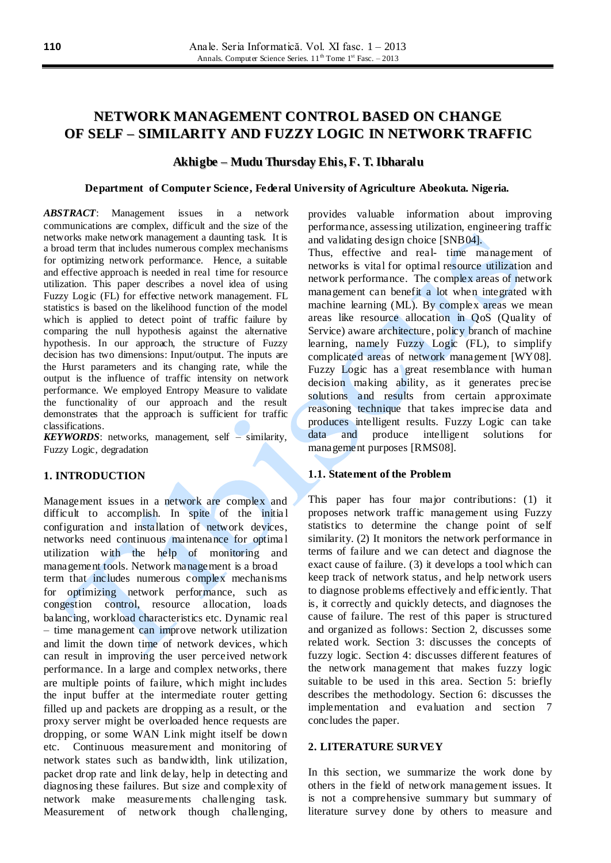# **NETWORK MANAGEMENT CONTROL BASED ON CHANGE OF SELF – SIMILARITY AND FUZZY LOGIC IN NETWORK TRAFFIC**

#### **Akhigbe – Mudu Thursday Ehis, F. T. Ibharalu**

#### **Department of Computer Science, Federal University of Agriculture Abeokuta. Nigeria.**

*ABSTRACT*: Management issues in a network communications are complex, difficult and the size of the networks make network management a daunting task. It is a broad term that includes numerous complex mechanisms for optimizing network performance. Hence, a suitable and effective approach is needed in real time for resource utilization. This paper describes a novel idea of using Fuzzy Logic (FL) for effective network management. FL statistics is based on the likelihood function of the model which is applied to detect point of traffic failure by comparing the null hypothesis against the alternative hypothesis. In our approach, the structure of Fuzzy decision has two dimensions: Input/output. The inputs are the Hurst parameters and its changing rate, while the output is the influence of traffic intensity on network performance. We employed Entropy Measure to validate the functionality of our approach and the result demonstrates that the approach is sufficient for traffic classifications.

*KEYWORDS*: networks, management, self – similarity, Fuzzy Logic, degradation

### **1. INTRODUCTION**

Management issues in a network are complex and difficult to accomplish. In spite of the initial configuration and installation of network devices, networks need continuous maintenance for optima l utilization with the help of monitoring and management tools. Network management is a broad term that includes numerous complex mechanisms for optimizing network performance, such as congestion control, resource allocation, loads balancing, workload characteristics etc. Dynamic real – time management can improve network utilization and limit the down time of network devices, which can result in improving the user perceived network performance. In a large and complex networks, there are multiple points of failure, which might includes the input buffer at the intermediate router getting filled up and packets are dropping as a result, or the proxy server might be overloaded hence requests are dropping, or some WAN Link might itself be down etc. Continuous measurement and monitoring of network states such as bandwidth, link utilization, packet drop rate and link de lay, help in detecting and diagnosing these failures. But size and complexity of network make measurements challenging task. Measurement of network though challenging,

provides valuable information about improving performance, assessing utilization, engineering traffic and validating design choice [SNB04].

Thus, effective and real- time management of networks is vital for optimal resource utilization and network performance. The complex areas of network management can benefit a lot when integrated with machine learning (ML). By complex areas we mean areas like resource allocation in QoS (Quality of Service) aware architecture, policy branch of machine learning, namely Fuzzy Logic (FL), to simplify complicated areas of network management [WY08]. Fuzzy Logic has a great resemblance with human decision making ability, as it generates precise solutions and results from certain approximate reasoning technique that takes imprecise data and produces intelligent results. Fuzzy Logic can take data and produce intelligent solutions for management purposes [RMS08].

#### **1.1. Statement of the Problem**

This paper has four major contributions: (1) it proposes network traffic management using Fuzzy statistics to determine the change point of self similarity. (2) It monitors the network performance in terms of failure and we can detect and diagnose the exact cause of failure. (3) it develops a tool which can keep track of network status, and help network users to diagnose problems effectively and efficiently. That is, it correctly and quickly detects, and diagnoses the cause of failure. The rest of this paper is structured and organized as follows: Section 2, discusses some related work. Section 3: discusses the concepts of fuzzy logic. Section 4: discusses different features of the network management that makes fuzzy logic suitable to be used in this area. Section 5: briefly describes the methodology. Section 6: discusses the implementation and evaluation and section 7 concludes the paper.

#### **2. LITERATURE SURVEY**

In this section, we summarize the work done by others in the field of network management issues. It is not a comprehensive summary but summary of literature survey done by others to measure and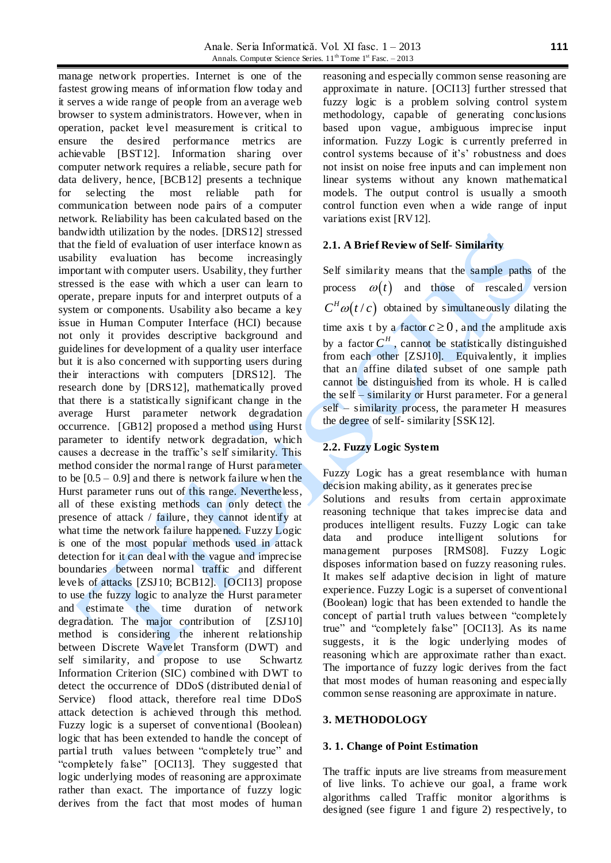manage network properties. Internet is one of the fastest growing means of information flow today and it serves a wide range of people from an average web browser to system administrators. However, when in operation, packet level measurement is critical to ensure the desired performance metrics are achievable [BST12]. Information sharing over computer network requires a reliable, secure path for data delivery, hence, [BCB12] presents a technique for selecting the most reliable path for communication between node pairs of a computer network. Reliability has been calculated based on the bandwidth utilization by the nodes. [DRS12] stressed that the field of evaluation of user interface known as usability evaluation has become increasingly important with computer users. Usability, they further stressed is the ease with which a user can learn to operate, prepare inputs for and interpret outputs of a system or components. Usability also became a key issue in Human Computer Interface (HCI) because not only it provides descriptive background and guidelines for development of a quality user interface but it is also concerned with supporting users during their interactions with computers [DRS12]. The research done by [DRS12], mathematically proved that there is a statistically significant change in the average Hurst parameter network degradation occurrence. [GB12] proposed a method using Hurst parameter to identify network degradation, which causes a decrease in the traffic's self similarity. This method consider the normal range of Hurst parameter to be  $[0.5 - 0.9]$  and there is network failure when the Hurst parameter runs out of this range. Nevertheless, all of these existing methods can only detect the presence of attack / failure, they cannot identify at what time the network failure happened. Fuzzy Logic is one of the most popular methods used in attack detection for it can deal with the vague and imprecise boundaries between normal traffic and different levels of attacks [ZSJ10; BCB12]. [OCI13] propose to use the fuzzy logic to analyze the Hurst parameter and estimate the time duration of network degradation. The major contribution of [ZSJ10] method is considering the inherent relationship between Discrete Wavelet Transform (DWT) and self similarity, and propose to use Schwartz Information Criterion (SIC) combined with DWT to detect the occurrence of DDoS (distributed denial of Service) flood attack, therefore real time DDoS attack detection is achieved through this method. Fuzzy logic is a superset of conventional (Boolean) logic that has been extended to handle the concept of partial truth values between "completely true" and "completely false" [OCI13]. They suggested that logic underlying modes of reasoning are approximate rather than exact. The importance of fuzzy logic derives from the fact that most modes of human

reasoning and especially common sense reasoning are approximate in nature. [OCI13] further stressed that fuzzy logic is a problem solving control system methodology, capable of generating conclusions based upon vague, ambiguous imprecise input information. Fuzzy Logic is currently preferred in control systems because of it's' robustness and does not insist on noise free inputs and can implement non linear systems without any known mathematical models. The output control is usually a smooth control function even when a wide range of input variations exist [RV12].

#### **2.1. A Brief Review of Self- Similarity**

Self similarity means that the sample paths of the process  $\omega(t)$  and those of rescaled version  $C^H \omega(t/c)$  obtained by simultaneously dilating the time axis t by a factor  $c \ge 0$ , and the amplitude axis by a factor  $C^H$ , cannot be statistically distinguished from each other [ZSJ10]. Equivalently, it implies that an affine dilated subset of one sample path cannot be distinguished from its whole. H is called the self – similarity or Hurst parameter. For a general self – similarity process, the parameter H measures the degree of self- similarity [SSK12].

## **2.2. Fuzzy Logic System**

Fuzzy Logic has a great resemblance with human decision making ability, as it generates precise Solutions and results from certain approximate reasoning technique that takes imprecise data and produces intelligent results. Fuzzy Logic can take data and produce intelligent solutions for management purposes [RMS08]. Fuzzy Logic disposes information based on fuzzy reasoning rules. It makes self adaptive decision in light of mature experience. Fuzzy Logic is a superset of conventional (Boolean) logic that has been extended to handle the concept of partial truth values between "completely true" and "completely false" [OCI13]. As its name suggests, it is the logic underlying modes of reasoning which are approximate rather than exact. The importance of fuzzy logic derives from the fact that most modes of human reasoning and especially common sense reasoning are approximate in nature.

## **3. METHODOLOGY**

## **3. 1. Change of Point Estimation**

The traffic inputs are live streams from measurement of live links. To achieve our goal, a frame work algorithms called Traffic monitor algorithms is designed (see figure 1 and figure 2) respectively, to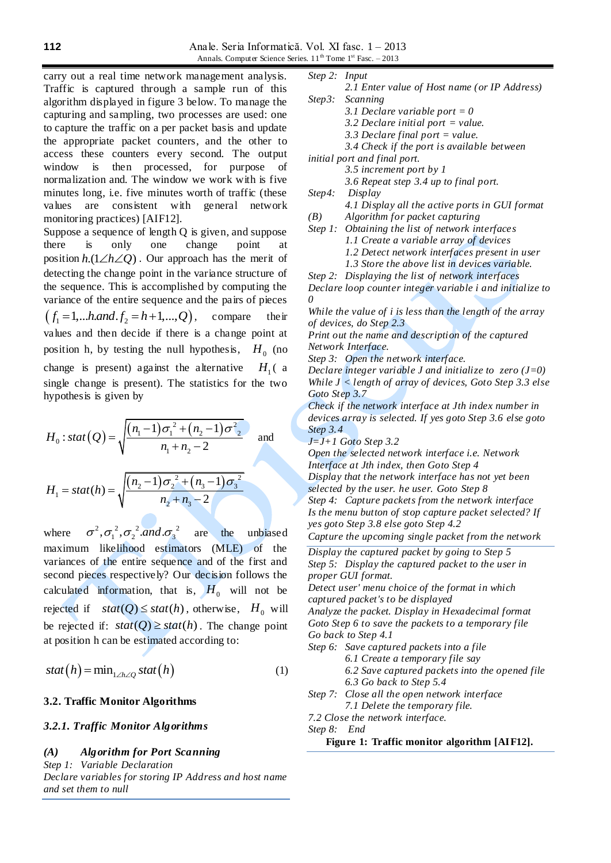carry out a real time network management analysis. Traffic is captured through a sample run of this algorithm displayed in figure 3 below. To manage the capturing and sampling, two processes are used: one to capture the traffic on a per packet basis and update the appropriate packet counters, and the other to access these counters every second. The output window is then processed, for purpose of normalization and. The window we work with is five minutes long, i.e. five minutes worth of traffic (these values are consistent with general network monitoring practices) [AIF12].

Suppose a sequence of length Q is given, and suppose there is only one change point position  $h(1 \angle h \angle Q)$ . Our approach has the merit of detecting the change point in the variance structure of the sequence. This is accomplished by computing the variance of the entire sequence and the pairs of pieces  $(f_1 = 1,...h$ .and  $f_2 = h+1,...,Q)$ , , compare their values and then decide if there is a change point at position h, by testing the null hypothesis,  $H_{0}$  (no change is present) against the alternative  $H_1$ (a single change is present). The statistics for the two hypothesis is given by

$$
H_0: \text{stat}(Q) = \sqrt{\frac{(n_1 - 1)\sigma_1^2 + (n_2 - 1)\sigma_2^2}{n_1 + n_2 - 2}}
$$
 and  

$$
H = \text{stat}(h) = \sqrt{\frac{(n_2 - 1)\sigma_2^2 + (n_3 - 1)\sigma_3^2}{n_1 + n_2 - 2}}
$$

$$
H_1 = stat(h) = \sqrt{\frac{(n_2 - 1)\sigma_2^2 + (n_3 - 1)\sigma_3^2}{n_2 + n_3 - 2}}
$$

where  $\sigma^2$ ,  $\sigma_1^2$ ,  $\sigma_2^2$  and  $\sigma_3^2$ are the unbiased maximum likelihood estimators (MLE) of the variances of the entire sequence and of the first and second pieces respectively? Our decision follows the calculated information, that is,  $H_0$  will not be rejected if  $stat(Q) \leq stat(h)$ , otherwise,  $H_0$  will be rejected if:  $stat(Q) \geq stat(h)$ . The change point at position h can be estimated according to:

$$
stat(h) = \min_{1 \le h \le Q} stat(h) \tag{1}
$$

## **3.2. Traffic Monitor Algorithms**

## *3.2.1. Traffic Monitor Algorithms*

## *(A) Algorithm for Port Scanning*

*Step 1: Variable Declaration Declare variables for storing IP Address and host name and set them to null* 

| Step 2: Input |                                                                  |
|---------------|------------------------------------------------------------------|
|               | 2.1 Enter value of Host name (or IP Address)                     |
|               | Step3: Scanning                                                  |
|               | 3.1 Declare variable port $= 0$                                  |
|               | 3.2 Declare initial port $=$ value.                              |
|               | 3.3 Declare final port $=$ value.                                |
|               | 3.4 Check if the port is available between                       |
|               | initial port and final port.                                     |
|               | 3.5 increment port by 1                                          |
|               | 3.6 Repeat step 3.4 up to final port.                            |
| Step 4:       | Display                                                          |
|               | 4.1 Display all the active ports in GUI format                   |
| (B)           | Algorithm for packet capturing                                   |
|               | Step 1: Obtaining the list of network interfaces                 |
|               | 1.1 Create a variable array of devices                           |
|               | 1.2 Detect network interfaces present in user                    |
|               | 1.3 Store the above list in devices variable.                    |
|               | Step 2: Displaying the list of network interfaces                |
|               | Declare loop counter integer variable <i>i</i> and initialize to |
|               |                                                                  |
|               |                                                                  |

*While the value of i is less than the length of the array of devices, do Step 2.3*

*Print out the name and description of the captured Network Interface.* 

*Step 3: Open the network interface.*

*Declare integer variable J and initialize to zero (J=0) While J < length of array of devices, Goto Step 3.3 else Goto Step 3.7* 

*Check if the network interface at Jth index number in devices array is selected. If yes goto Step 3.6 else goto Step 3.4*

*J=J+1 Goto Step 3.2* 

*Open the selected network interface i.e. Network Interface at Jth index, then Goto Step 4 Display that the network interface has not yet been selected by the user. he user. Goto Step 8 Step 4: Capture packets from the network interface Is the menu button of stop capture packet selected? If yes goto Step 3.8 else goto Step 4.2 Capture the upcoming single packet from the network*

*Display the captured packet by going to Step 5 Step 5: Display the captured packet to the user in proper GUI format. Detect user' menu choice of the format in which* 

*captured packet's to be displayed Analyze the packet. Display in Hexadecimal format Goto Step 6 to save the packets to a temporary file*

*Go back to Step 4.1*

- *Step 6: Save captured packets into a file* 
	- *6.1 Create a temporary file say 6.2 Save captured packets into the opened file* 
		- *6.3 Go back to Step 5.4*

*Step 7: Close all the open network interface 7.1 Delete the temporary file.* 

*7.2 Close the network interface.* 

*Step 8: End*

**Figure 1: Traffic monitor algorithm [AIF12].**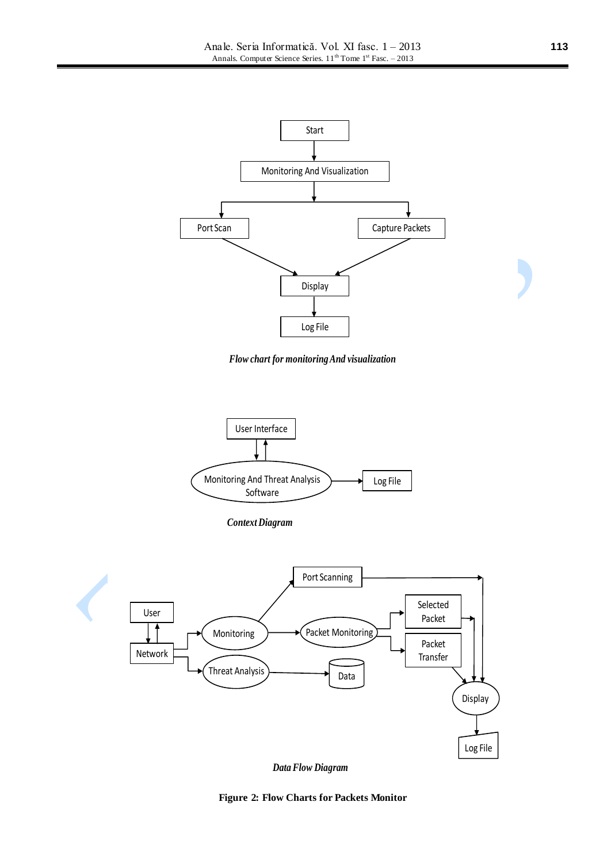

*Flow chart for monitoring And visualization* 



*Context Diagram* 



*Data Flow Diagram* 

**Figure 2: Flow Charts for Packets Monitor**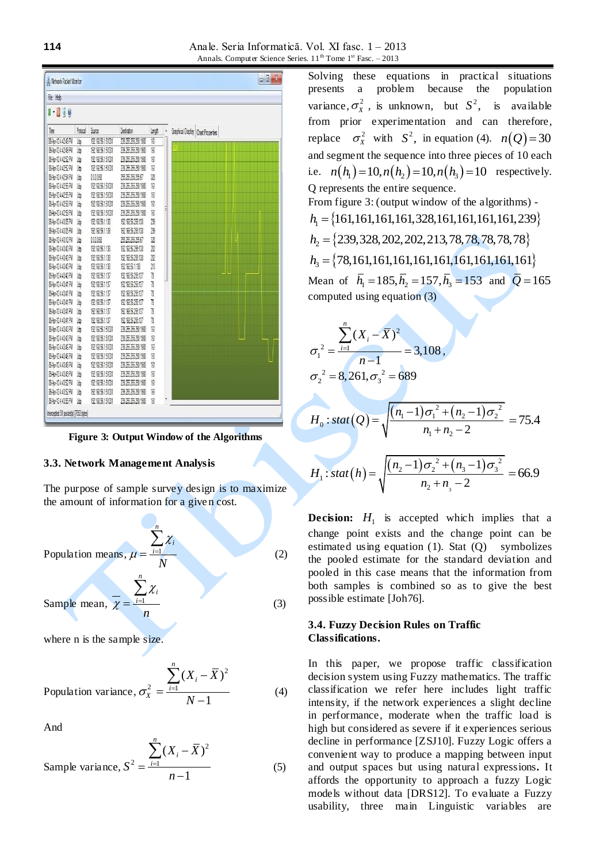| File Help            |          |                    |                      |                |                 |                                      |  |  |  |  |  |
|----------------------|----------|--------------------|----------------------|----------------|-----------------|--------------------------------------|--|--|--|--|--|
| 8.000                |          |                    |                      |                |                 |                                      |  |  |  |  |  |
| Time                 | Protocol | <b>Source</b>      | Destration           | Lendt          | $\pmb{\lambda}$ | Graphical Display   Chart Properties |  |  |  |  |  |
| 09-Apr-13 4:42:49 PM | Uto      | 192 168 56 1 51031 | 239 255 255 250 1900 | $\overline{6}$ |                 |                                      |  |  |  |  |  |
| 09-lor-13 4:42:49 PM | Ub       | 192.168.56.1:51031 | 239 255 255 250 1900 | 161            |                 |                                      |  |  |  |  |  |
| 09-Apr-13 4:42:52 PM | Ub       | 192 168 56 1 51031 | 239 255 255 250 1900 | 161            |                 |                                      |  |  |  |  |  |
| 09-Apr-13 4:42:52 PM | Ub       | 192 168 56 1 51031 | 239 255 255 250 1900 | 161            |                 |                                      |  |  |  |  |  |
| 09-Apr-13 4:42:54 PM | Up       | 000068             | 255 255 255 255 67   | 328            |                 |                                      |  |  |  |  |  |
| 09-Apr-13 4:42:55 PM | Ub       | 192 168 56 1 51031 | 239 255 255 250 1900 | 161            |                 |                                      |  |  |  |  |  |
| 09-Apr-13 4:42:55 PM | Ub       | 192 168 56 1 51031 | 239 255 255 250 1900 | 161            |                 |                                      |  |  |  |  |  |
| 09-Apr-13 4:42:58 PM | Ub       | 192 168 56 1 51031 | 239 255 255 250 1900 | $\frac{1}{6}$  |                 |                                      |  |  |  |  |  |
| 09-Apr-13 4:42:58 PM | Utb      | 192.168.56.1.51031 | 239 255 255 250 1900 | 161            | š               |                                      |  |  |  |  |  |
| 03-Apr-13 4:43:05 PM | Ub       | 192.168.56.1:138   | 192.168.56.255:138   | 239            |                 |                                      |  |  |  |  |  |
| 09-Apr-13 4:43:05 PM | Ub       | 192 168 56.1:138   | 192.168.56.255.138   | 239            |                 |                                      |  |  |  |  |  |
| 09-Apr-13 4:43:10 PM | Ub       | 0.00068            | 255 255 255 255 67   | 328            |                 |                                      |  |  |  |  |  |
| 09-Apr-13 4:43:40 PM | Up       | 192 168 56 1:138   | 192 168 56 255 138   | 202            |                 |                                      |  |  |  |  |  |
| 03-Apr-13 4:43:40 PM | Ub       | 192.168.56.1:138   | 192 168 56 255 138   | $\overline{m}$ |                 |                                      |  |  |  |  |  |
| 09-Apr-13 4:43:40 PM | Ub       | 192 163 56 1-138   | 192 168 56 1:138     | 213            |                 |                                      |  |  |  |  |  |
| 09-Apr-13 4:43:40 PM | Ub       | 192 168 56 1:137   | 192 168 56 255 137   | 78             |                 |                                      |  |  |  |  |  |
| 09-Apr-13 4:43:41 PM | Ub       | 192.168.56.1:137   | 192.168.56.255:137   | 78             |                 |                                      |  |  |  |  |  |
| 03-Apr-13 4:43:41 PM | Ub       | 192.168.56.1:137   | 192.168.56.255:137   | 78             |                 |                                      |  |  |  |  |  |
| 09-Apr-13 4:43:41 PM | Ub       | 192.168.56.1:137   | 192.168.56.255:137   | 78             |                 |                                      |  |  |  |  |  |
| 09-Apr-13 4:43:41 PM | Ub       | 192.168.56.1:137   | 192 168 56 255 137   | 78             |                 |                                      |  |  |  |  |  |
| 09-Apr-13 4:43:41 PM | Uto      | 192 168 56 1:137   | 192 168 56 255 137   | 78             |                 |                                      |  |  |  |  |  |
| 09-Apr-13 4:43:43 PM | Ub       | 192.168.56.1.51031 | 239 255 255 250 1900 | 161            |                 |                                      |  |  |  |  |  |
| 09-Apr-13 4:43:43 PM | Utb      | 192 168 56 1 51031 | 239 255 255 250 1900 | 161            |                 |                                      |  |  |  |  |  |
| 09-Apr-13 4:43:46 PM | Ub       | 192 168 56 1 51031 | 239 255 255 250 1900 | 161            |                 |                                      |  |  |  |  |  |
| 09-Apr-13 4:43:46 PM | Utb      | 192 168 56 1 51031 | 239 255 255 250 1900 | 161            |                 |                                      |  |  |  |  |  |
| 03-Apr-13 4:43:49 PM | Ub       | 192 168 56 1 51031 | 239 255 255 250 1900 | 161            |                 |                                      |  |  |  |  |  |
| 09-Apr-13 4:43:49 PM | Ub       | 192.168.56.1.51031 | 239 255 255 250 1900 | 161            |                 |                                      |  |  |  |  |  |
| 09-Apr-13 4:43:52 PM | Ub       | 192.168.56.1:51031 | 239 255 255 250 1900 | 161            |                 |                                      |  |  |  |  |  |
| 09-Apr-13 4:43:52 PM | Utb      | 192.168.56.1:51031 | 239 255 255 250 1900 | $\frac{1}{6}$  |                 |                                      |  |  |  |  |  |
| 09-Apr-13 4:43:55 PM | Ub       | 192 168 56 1 51031 | 239 255 255 250 1900 | $\frac{1}{6}$  | ۲               |                                      |  |  |  |  |  |

**Figure 3: Output Window of the Algorithms**

#### **3.3. Network Management Analysis**

The purpose of sample survey design is to maximize the amount of information for a given cost.

Population means, 
$$
\mu = \frac{\sum_{i=1}^{n} \chi_i}{N}
$$
 (2)  
Sample mean,  $\overline{\chi} = \frac{\sum_{i=1}^{n} \chi_i}{n}$  (3)

where n is the sample size.

Population variance, 
$$
\sigma_X^2 = \frac{\sum_{i=1}^n (X_i - \overline{X})^2}{N-1}
$$
 (4)

And

Sample variance, 
$$
S^2 = \frac{\sum_{i=1}^{n} (X_i - \bar{X})^2}{n-1}
$$
 (5)

Solving these equations in practical situations presents a problem because the population variance,  $\sigma_X^2$ , is unknown, but  $S^2$ , is available from prior experimentation and can therefore, replace  $\sigma_x^2$  with  $S^2$ , in equation (4).  $n(Q) = 30$ and segment the sequence into three pieces of 10 each and segment the sequence into three pieces of 10 each<br>i.e.  $n(h_1) = 10, n(h_2) = 10, n(h_3) = 10$  respectively. Q represents the entire sequence. From figure 3: (output window of the algorithms) *h*<sub>1</sub> = {161,161,161,161,328,161,161,161,161,239} *h*<sub>2</sub> = {239,328,202,202,213,78,78,78,78,78} *h*<sub>3</sub> = {78,161,161,161,161,161,161,161,161} Mean of  $\overline{h}_1 = 185, \overline{h}_2 = 157, \overline{h}_3 = 153$  and  $\overline{Q} = 165$ computed using equation (3)

$$
\sigma_1^2 = \frac{\sum_{i=1}^n (X_i - \overline{X})^2}{n-1} = 3,108,
$$
  

$$
\sigma_2^2 = 8,261, \sigma_3^2 = 689
$$

$$
H_0: \text{stat}(Q) = \sqrt{\frac{(n_1 - 1)\sigma_1^2 + (n_2 - 1)\sigma_2^2}{n_1 + n_2 - 2}} = 75.4
$$
\n
$$
H_1: \text{stat}(h) = \sqrt{\frac{(n_2 - 1)\sigma_2^2 + (n_3 - 1)\sigma_3^2}{n_2 + n_3 - 2}} = 66.9
$$

**Decision:**  $H_1$  is accepted which implies that a change point exists and the change point can be estimated using equation (1). Stat (Q) symbolizes the pooled estimate for the standard deviation and pooled in this case means that the information from both samples is combined so as to give the best possible estimate [Joh76].

## **3.4. Fuzzy Decision Rules on Traffic Classifications.**

In this paper, we propose traffic classification decision system using Fuzzy mathematics. The traffic classification we refer here includes light traffic intensity, if the network experiences a slight decline in performance, moderate when the traffic load is high but considered as severe if it experiences serious decline in performance [ZSJ10]. Fuzzy Logic offers a convenient way to produce a mapping between input and output spaces but using natural expressions**.** It affords the opportunity to approach a fuzzy Logic models without data [DRS12]. To evaluate a Fuzzy usability, three main Linguistic variables are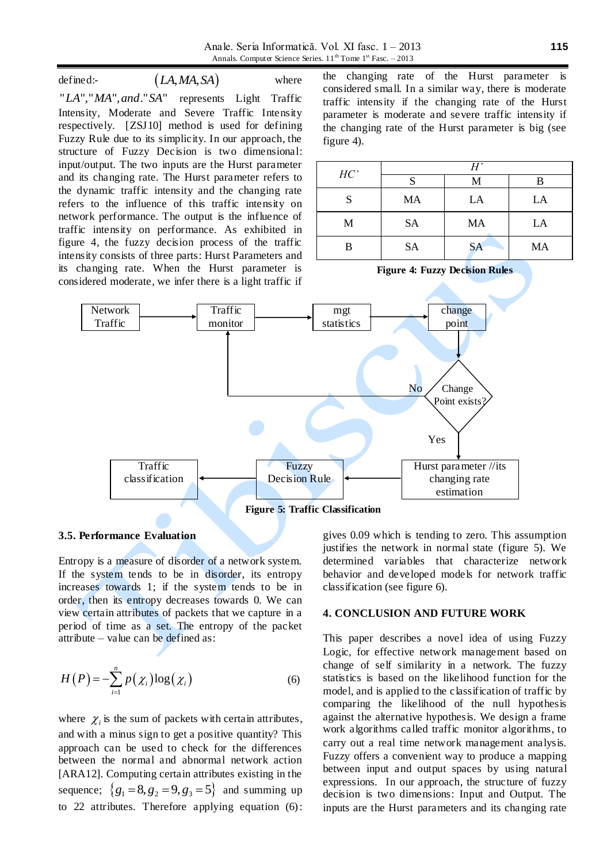Anale. Seria Informatică. Vol. XI fasc. 1 – 2013 Annals. Computer Science Series.  $11^{th}$  Tome  $1^{st}$  Fasc.  $-2013$ 

defined:-  $(LA, MA, SA)$ where "LA", "MA", and ." SA" represents Light Traffic Intensity, Moderate and Severe Traffic Intensity respectively. [ZSJ10] method is used for defining Fuzzy Rule due to its simplicity. In our approach, the structure of Fuzzy Decision is two dimensional: input/output. The two inputs are the Hurst parameter and its changing rate. The Hurst parameter refers to the dynamic traffic intensity and the changing rate refers to the influence of this traffic intensity on network performance. The output is the influence of traffic intensity on performance. As exhibited in figure 4, the fuzzy decision process of the traffic intensity consists of three parts: Hurst Parameters and its changing rate. When the Hurst parameter is considered moderate, we infer there is a light traffic if

the changing rate of the Hurst parameter is considered small. In a similar way, there is moderate traffic intensity if the changing rate of the Hurst parameter is moderate and severe traffic intensity if the changing rate of the Hurst parameter is big (see figure 4).

| HC' | H'        |           |    |  |  |  |
|-----|-----------|-----------|----|--|--|--|
|     |           | M         | в  |  |  |  |
| S   | MA        | LA        | LA |  |  |  |
| M   | <b>SA</b> | MA        | LA |  |  |  |
| B   | <b>SA</b> | <b>SA</b> | MA |  |  |  |





#### **3.5. Performance Evaluation**

Entropy is a measure of disorder of a network system. If the system tends to be in disorder, its entropy increases towards 1; if the system tends to be in order, then its entropy decreases towards 0. We can view certain attributes of packets that we capture in a period of time as a set. The entropy of the packet attribute – value can be defined as:

$$
H(P) = -\sum_{i=1}^{n} p(\chi_i) \log(\chi_i)
$$
 (6)

where  $\chi$ <sub>i</sub> is the sum of packets with certain attributes, and with a minus sign to get a positive quantity? This approach can be used to check for the differences between the normal and abnormal network action [ARA12]. Computing certain attributes existing in the sequence;  $\{g_1 = 8, g_2 = 9, g_3 = 5\}$  and summing up to 22 attributes. Therefore applying equation (6) :

gives 0.09 which is tending to zero. This assumption justifies the network in normal state (figure 5). We determined variables that characterize network behavior and developed models for network traffic classification (see figure 6).

#### **4. CONCLUSION AND FUTURE WORK**

This paper describes a novel idea of using Fuzzy Logic, for effective network management based on change of self similarity in a network. The fuzzy statistics is based on the likelihood function for the model, and is applied to the classification of traffic by comparing the likelihood of the null hypothesis against the alternative hypothesis. We design a frame work algorithms called traffic monitor algorithms, to carry out a real time network management analysis. Fuzzy offers a convenient way to produce a mapping between input and output spaces by using natural expressions. In our approach, the structure of fuzzy decision is two dimensions: Input and Output. The inputs are the Hurst parameters and its changing rate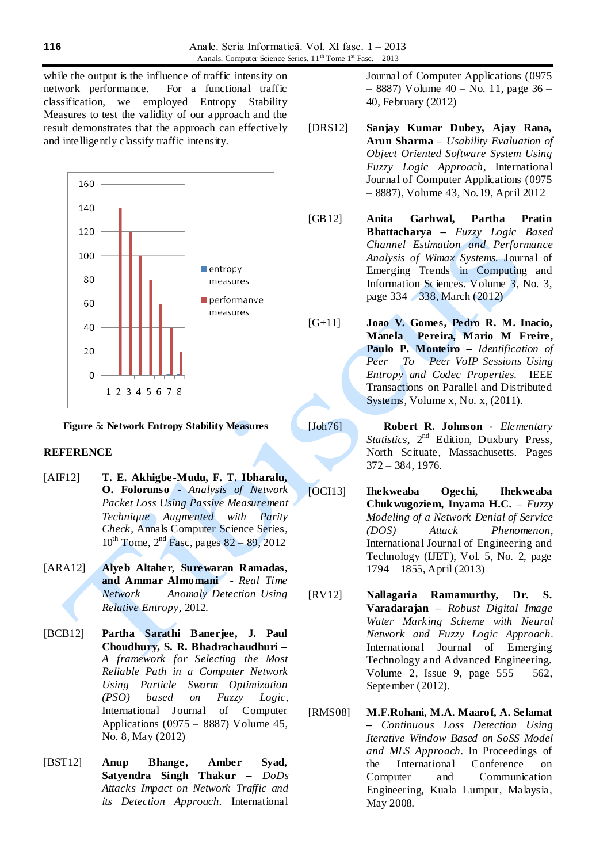while the output is the influence of traffic intensity on network performance. For a functional traffic classification, we employed Entropy Stability Measures to test the validity of our approach and the result demonstrates that the approach can effectively and intelligently classify traffic intensity.



**Figure 5: Network Entropy Stability Measures**

#### **REFERENCE**

- [AIF12] **T. E. Akhigbe-Mudu, F. T. Ibharalu, O. Folorunso -** *Analysis of Network Packet Loss Using Passive Measurement Technique Augmented with Parity Check,* Annals Computer Science Series,  $10^{th}$  Tome,  $2^{nd}$  Fasc, pages  $82 - 89$ , 2012
- [ARA12] **Alyeb Altaher, Surewaran Ramadas, and Ammar Almomani -** *Real Time Network Anomaly Detection Using Relative Entropy,* 2012.
- [BCB12] **Partha Sarathi Banerjee, J. Paul Choudhury, S. R. Bhadrachaudhuri –** *A framework for Selecting the Most Reliable Path in a Computer Network Using Particle Swarm Optimization (PSO) based on Fuzzy Logic,* International Journal of Computer Applications (0975 – 8887) Volume 45, No. 8, May (2012)
- [BST12] **Anup Bhange, Amber Syad, Satyendra Singh Thakur –** *DoDs Attacks Impact on Network Traffic and its Detection Approach.* International

Journal of Computer Applications (0975 – 8887) Volume 40 – No. 11, page 36 – 40, February (2012)

- [DRS12] **Sanjay Kumar Dubey, Ajay Rana, Arun Sharma –** *Usability Evaluation of Object Oriented Software System Using Fuzzy Logic Approach*, International Journal of Computer Applications (0975 – 8887), Volume 43, No.19, April 2012
- [GB12] **Anita Garhwal, Partha Pratin Bhattacharya –** *Fuzzy Logic Based Channel Estimation and Performance Analysis of Wimax Systems.* Journal of Emerging Trends in Computing and Information Sciences. Volume 3, No. 3, page 334 – 338, March (2012)
- [G+11] **Joao V. Gomes, Pedro R. M. Inacio, Manela Pereira, Mario M Freire, Paulo P. Monteiro –** *Identification of Peer – To – Peer VoIP Sessions Using Entropy and Codec Properties.* IEEE Transactions on Parallel and Distributed Systems, Volume x, No. x, (2011).
- [Joh76] **Robert R. Johnson -** *Elementary Statistics*, 2nd Edition, Duxbury Press, North Scituate, Massachusetts. Pages 372 – 384, 1976.
- [OCI13] **Ihekweaba Ogechi, Ihekweaba Chukwugoziem, Inyama H.C. –** *Fuzzy Modeling of a Network Denial of Service (DOS) Attack Phenomenon,* International Journal of Engineering and Technology (IJET), Vol. 5, No. 2, page 1794 – 1855, April (2013)
- [RV12] **Nallagaria Ramamurthy, Dr. S. Varadarajan –** *Robust Digital Image Water Marking Scheme with Neural Network and Fuzzy Logic Approach*. International Journal of Emerging Technology and Advanced Engineering. Volume 2, Issue 9, page 555 – 562, September (2012).
- [RMS08] **M.F.Rohani, M.A. Maarof, A. Selamat –** *Continuous Loss Detection Using Iterative Window Based on SoSS Model and MLS Approach*. In Proceedings of the International Conference on Computer and Communication Engineering, Kuala Lumpur, Malaysia, May 2008.